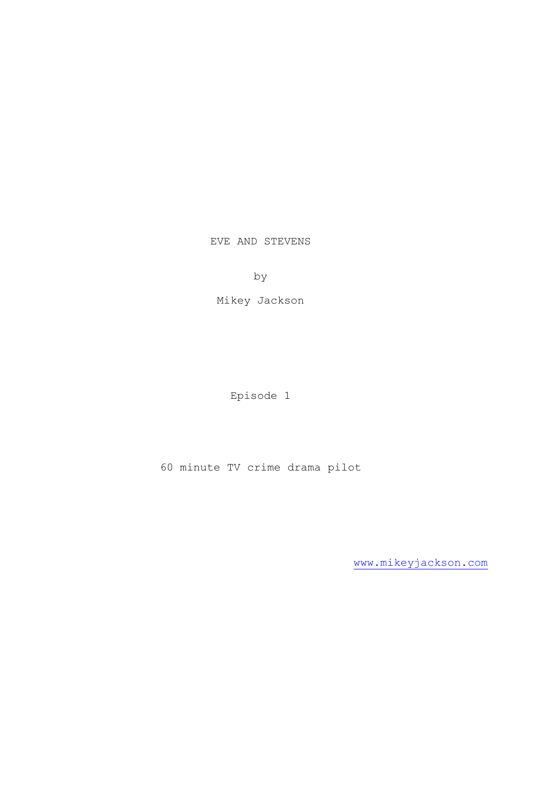EVE AND STEVENS

by

Mikey Jackson

Episode 1

60 minute TV crime drama pilot

[www.mikeyjackson.com](http://www.mikeyjackson.com/)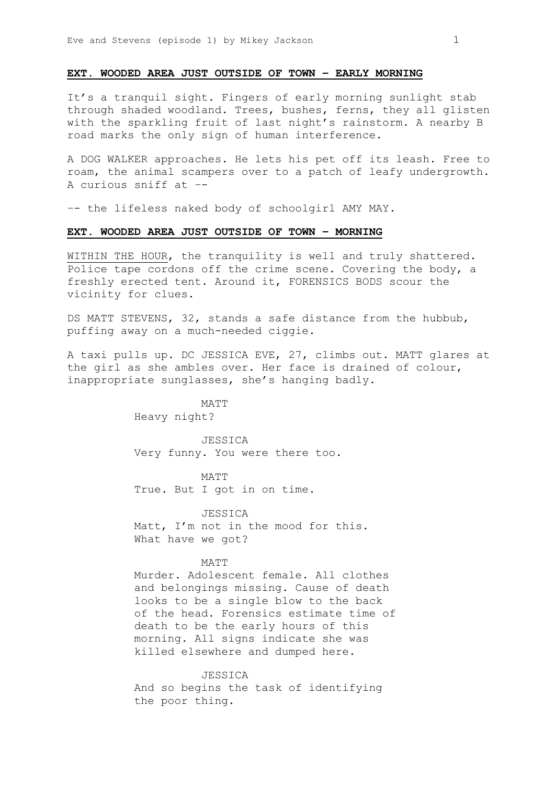## **EXT. WOODED AREA JUST OUTSIDE OF TOWN – EARLY MORNING**

It's a tranquil sight. Fingers of early morning sunlight stab through shaded woodland. Trees, bushes, ferns, they all glisten with the sparkling fruit of last night's rainstorm. A nearby B road marks the only sign of human interference.

A DOG WALKER approaches. He lets his pet off its leash. Free to roam, the animal scampers over to a patch of leafy undergrowth. A curious sniff at –-

–- the lifeless naked body of schoolgirl AMY MAY.

### **EXT. WOODED AREA JUST OUTSIDE OF TOWN – MORNING**

WITHIN THE HOUR, the tranquility is well and truly shattered. Police tape cordons off the crime scene. Covering the body, a freshly erected tent. Around it, FORENSICS BODS scour the vicinity for clues.

DS MATT STEVENS, 32, stands a safe distance from the hubbub, puffing away on a much-needed ciggie.

A taxi pulls up. DC JESSICA EVE, 27, climbs out. MATT glares at the girl as she ambles over. Her face is drained of colour, inappropriate sunglasses, she's hanging badly.

> MATT Heavy night?

JESSICA Very funny. You were there too.

MATT True. But I got in on time.

**JESSICA** Matt, I'm not in the mood for this. What have we got?

#### MATT

Murder. Adolescent female. All clothes and belongings missing. Cause of death looks to be a single blow to the back of the head. Forensics estimate time of death to be the early hours of this morning. All signs indicate she was killed elsewhere and dumped here.

JESSICA

And so begins the task of identifying the poor thing.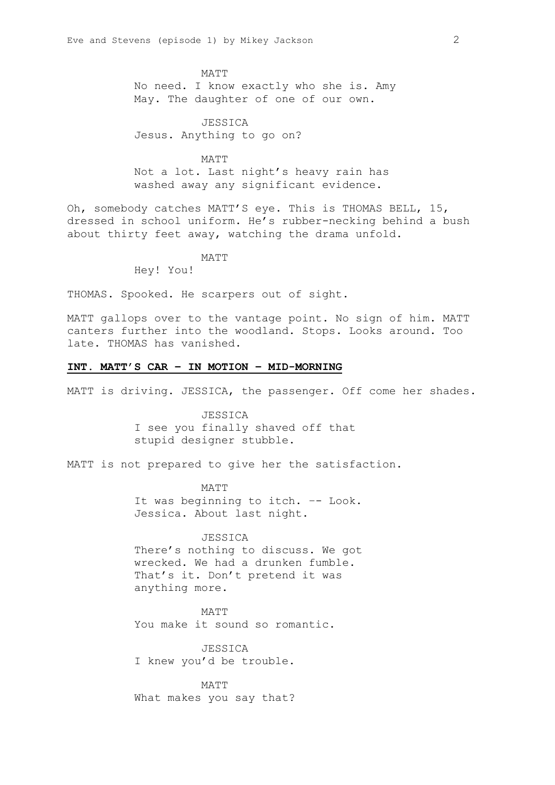MATT No need. I know exactly who she is. Amy May. The daughter of one of our own.

JESSICA Jesus. Anything to go on?

MATT Not a lot. Last night's heavy rain has washed away any significant evidence.

Oh, somebody catches MATT'S eye. This is THOMAS BELL, 15, dressed in school uniform. He's rubber-necking behind a bush about thirty feet away, watching the drama unfold.

MATT

Hey! You!

THOMAS. Spooked. He scarpers out of sight.

MATT gallops over to the vantage point. No sign of him. MATT canters further into the woodland. Stops. Looks around. Too late. THOMAS has vanished.

## **INT. MATT'S CAR – IN MOTION – MID-MORNING**

MATT is driving. JESSICA, the passenger. Off come her shades.

**JESSICA** I see you finally shaved off that stupid designer stubble.

MATT is not prepared to give her the satisfaction.

MATT It was beginning to itch. –- Look. Jessica. About last night.

#### JESSICA

There's nothing to discuss. We got wrecked. We had a drunken fumble. That's it. Don't pretend it was anything more.

MATT You make it sound so romantic.

JESSICA I knew you'd be trouble.

MATT What makes you say that?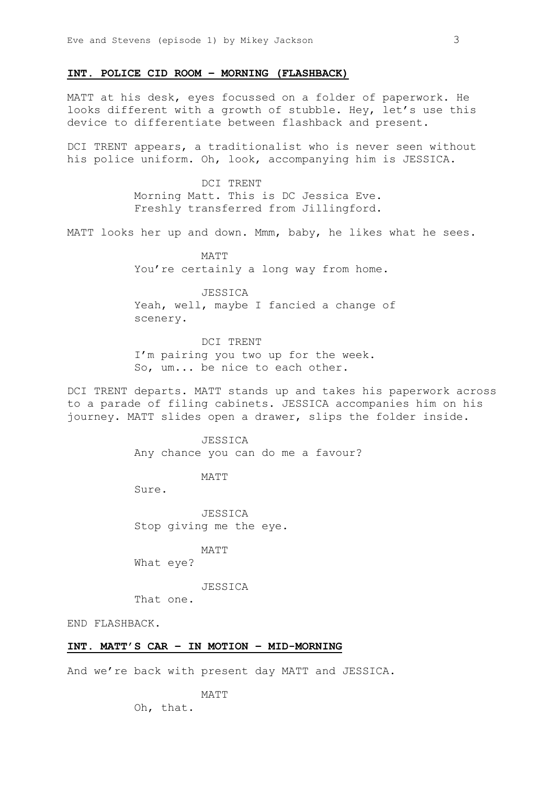## **INT. POLICE CID ROOM – MORNING (FLASHBACK)**

MATT at his desk, eyes focussed on a folder of paperwork. He looks different with a growth of stubble. Hey, let's use this device to differentiate between flashback and present.

DCI TRENT appears, a traditionalist who is never seen without his police uniform. Oh, look, accompanying him is JESSICA.

> DCI TRENT Morning Matt. This is DC Jessica Eve. Freshly transferred from Jillingford.

MATT looks her up and down. Mmm, baby, he likes what he sees.

MATT You're certainly a long way from home.

JESSICA Yeah, well, maybe I fancied a change of scenery.

DCI TRENT I'm pairing you two up for the week. So, um... be nice to each other.

DCI TRENT departs. MATT stands up and takes his paperwork across to a parade of filing cabinets. JESSICA accompanies him on his journey. MATT slides open a drawer, slips the folder inside.

> JESSICA Any chance you can do me a favour?

> > MATT

Sure.

**JESSICA** Stop giving me the eye.

MATT

What eye?

JESSICA

That one.

END FLASHBACK.

# **INT. MATT'S CAR – IN MOTION – MID-MORNING**

And we're back with present day MATT and JESSICA.

MATT

Oh, that.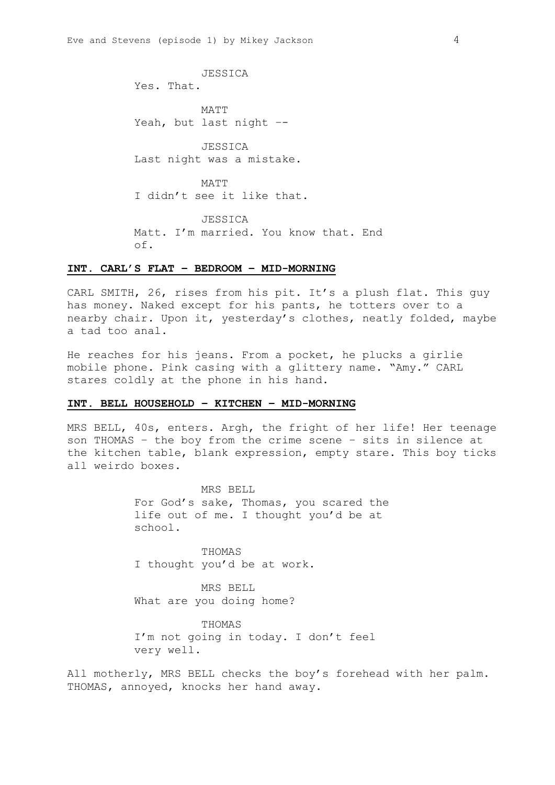JESSICA Yes. That. MATT Yeah, but last night –- JESSICA Last night was a mistake. MATT I didn't see it like that. JESSICA Matt. I'm married. You know that. End of.

#### **INT. CARL'S FLAT – BEDROOM – MID-MORNING**

CARL SMITH, 26, rises from his pit. It's a plush flat. This guy has money. Naked except for his pants, he totters over to a nearby chair. Upon it, yesterday's clothes, neatly folded, maybe a tad too anal.

He reaches for his jeans. From a pocket, he plucks a girlie mobile phone. Pink casing with a glittery name. "Amy." CARL stares coldly at the phone in his hand.

## **INT. BELL HOUSEHOLD – KITCHEN – MID-MORNING**

MRS BELL, 40s, enters. Argh, the fright of her life! Her teenage son THOMAS – the boy from the crime scene – sits in silence at the kitchen table, blank expression, empty stare. This boy ticks all weirdo boxes.

> MRS BELL For God's sake, Thomas, you scared the life out of me. I thought you'd be at school.

THOMAS I thought you'd be at work.

MRS BELL What are you doing home?

THOMAS I'm not going in today. I don't feel very well.

All motherly, MRS BELL checks the boy's forehead with her palm. THOMAS, annoyed, knocks her hand away.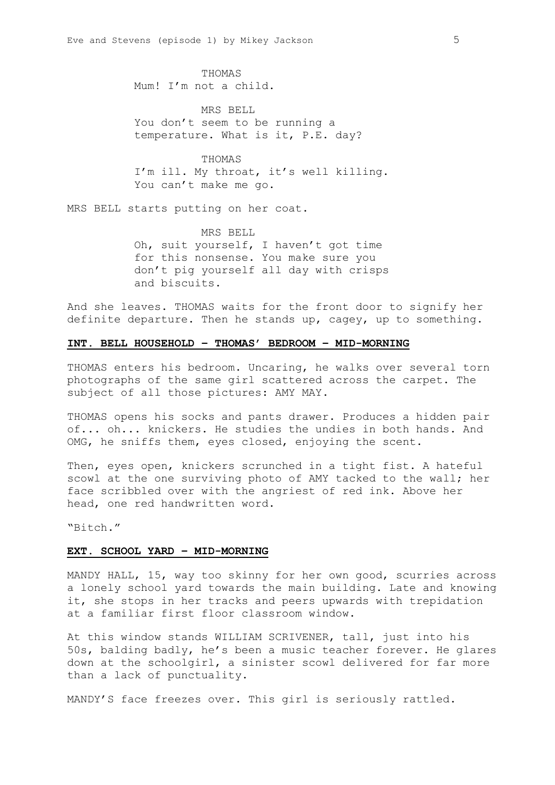THOMAS Mum! I'm not a child.

MRS BELL You don't seem to be running a temperature. What is it, P.E. day?

THOMAS I'm ill. My throat, it's well killing. You can't make me go.

MRS BELL starts putting on her coat.

MRS BELL Oh, suit yourself, I haven't got time for this nonsense. You make sure you don't pig yourself all day with crisps and biscuits.

And she leaves. THOMAS waits for the front door to signify her definite departure. Then he stands up, cagey, up to something.

### **INT. BELL HOUSEHOLD – THOMAS' BEDROOM – MID-MORNING**

THOMAS enters his bedroom. Uncaring, he walks over several torn photographs of the same girl scattered across the carpet. The subject of all those pictures: AMY MAY.

THOMAS opens his socks and pants drawer. Produces a hidden pair of... oh... knickers. He studies the undies in both hands. And OMG, he sniffs them, eyes closed, enjoying the scent.

Then, eyes open, knickers scrunched in a tight fist. A hateful scowl at the one surviving photo of AMY tacked to the wall; her face scribbled over with the angriest of red ink. Above her head, one red handwritten word.

"Bitch."

#### **EXT. SCHOOL YARD – MID-MORNING**

MANDY HALL, 15, way too skinny for her own good, scurries across a lonely school yard towards the main building. Late and knowing it, she stops in her tracks and peers upwards with trepidation at a familiar first floor classroom window.

At this window stands WILLIAM SCRIVENER, tall, just into his 50s, balding badly, he's been a music teacher forever. He glares down at the schoolgirl, a sinister scowl delivered for far more than a lack of punctuality.

MANDY'S face freezes over. This girl is seriously rattled.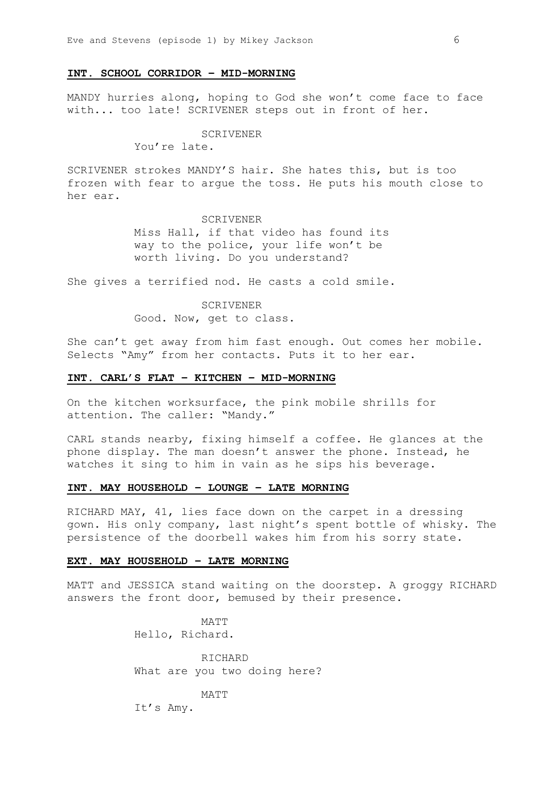#### **INT. SCHOOL CORRIDOR – MID-MORNING**

MANDY hurries along, hoping to God she won't come face to face with... too late! SCRIVENER steps out in front of her.

## SCRIVENER

You're late.

SCRIVENER strokes MANDY'S hair. She hates this, but is too frozen with fear to argue the toss. He puts his mouth close to her ear.

## SCRIVENER

Miss Hall, if that video has found its way to the police, your life won't be worth living. Do you understand?

She gives a terrified nod. He casts a cold smile.

#### SCRIVENER

Good. Now, get to class.

She can't get away from him fast enough. Out comes her mobile. Selects "Amy" from her contacts. Puts it to her ear.

#### **INT. CARL'S FLAT – KITCHEN – MID-MORNING**

On the kitchen worksurface, the pink mobile shrills for attention. The caller: "Mandy."

CARL stands nearby, fixing himself a coffee. He glances at the phone display. The man doesn't answer the phone. Instead, he watches it sing to him in vain as he sips his beverage.

## **INT. MAY HOUSEHOLD – LOUNGE – LATE MORNING**

RICHARD MAY, 41, lies face down on the carpet in a dressing gown. His only company, last night's spent bottle of whisky. The persistence of the doorbell wakes him from his sorry state.

#### **EXT. MAY HOUSEHOLD – LATE MORNING**

MATT and JESSICA stand waiting on the doorstep. A groggy RICHARD answers the front door, bemused by their presence.

> MATT Hello, Richard.

RICHARD What are you two doing here?

MATT

It's Amy.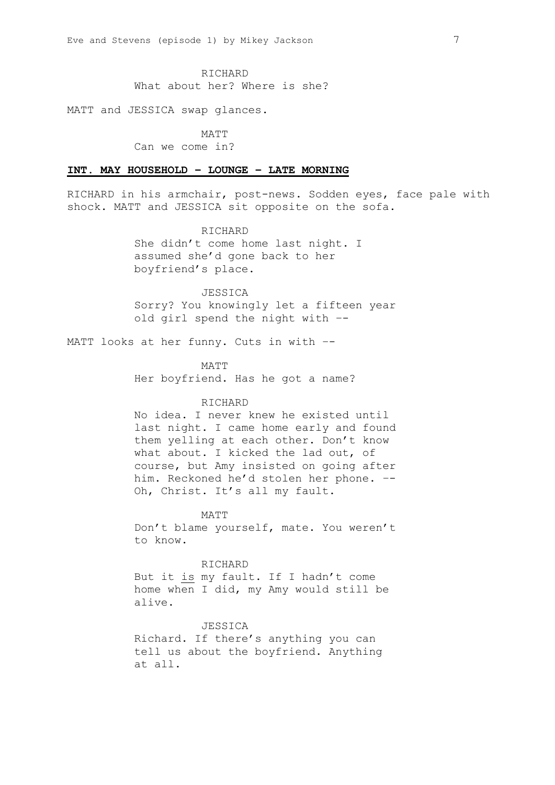RICHARD

What about her? Where is she?

MATT and JESSICA swap glances.

MATT

Can we come in?

## **INT. MAY HOUSEHOLD – LOUNGE – LATE MORNING**

RICHARD in his armchair, post-news. Sodden eyes, face pale with shock. MATT and JESSICA sit opposite on the sofa.

> RICHARD She didn't come home last night. I assumed she'd gone back to her boyfriend's place.

JESSICA Sorry? You knowingly let a fifteen year old girl spend the night with –-

MATT looks at her funny. Cuts in with --

MATT Her boyfriend. Has he got a name?

# RICHARD

No idea. I never knew he existed until last night. I came home early and found them yelling at each other. Don't know what about. I kicked the lad out, of course, but Amy insisted on going after him. Reckoned he'd stolen her phone. –- Oh, Christ. It's all my fault.

MATT

Don't blame yourself, mate. You weren't to know.

RICHARD

But it is my fault. If I hadn't come home when I did, my Amy would still be alive.

**JESSICA** 

Richard. If there's anything you can tell us about the boyfriend. Anything at all.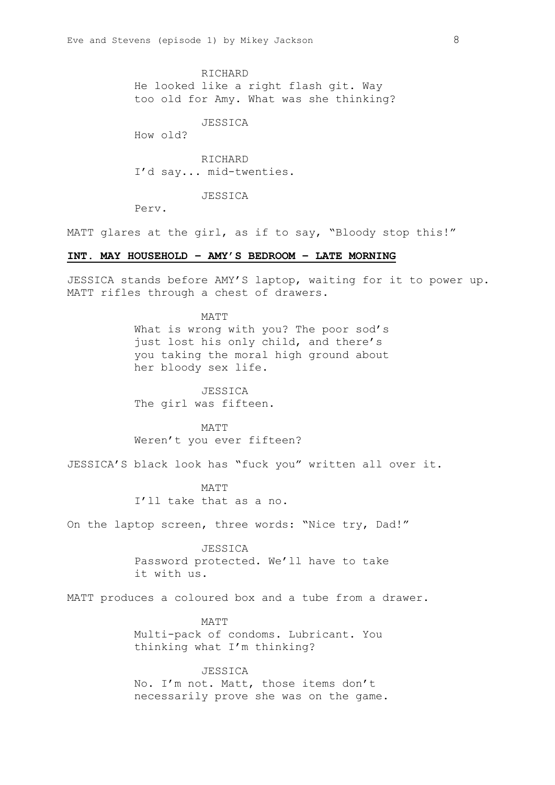RICHARD He looked like a right flash git. Way too old for Amy. What was she thinking?

JESSICA

How old?

RICHARD I'd say... mid-twenties.

JESSICA

Perv.

MATT glares at the girl, as if to say, "Bloody stop this!"

## **INT. MAY HOUSEHOLD – AMY'S BEDROOM – LATE MORNING**

JESSICA stands before AMY'S laptop, waiting for it to power up. MATT rifles through a chest of drawers.

> MATT What is wrong with you? The poor sod's just lost his only child, and there's you taking the moral high ground about her bloody sex life.

JESSICA The girl was fifteen.

MATT Weren't you ever fifteen?

JESSICA'S black look has "fuck you" written all over it.

MATT I'll take that as a no.

On the laptop screen, three words: "Nice try, Dad!"

**JESSICA** 

Password protected. We'll have to take it with us.

MATT produces a coloured box and a tube from a drawer.

MATT Multi-pack of condoms. Lubricant. You thinking what I'm thinking?

#### JESSICA

No. I'm not. Matt, those items don't necessarily prove she was on the game.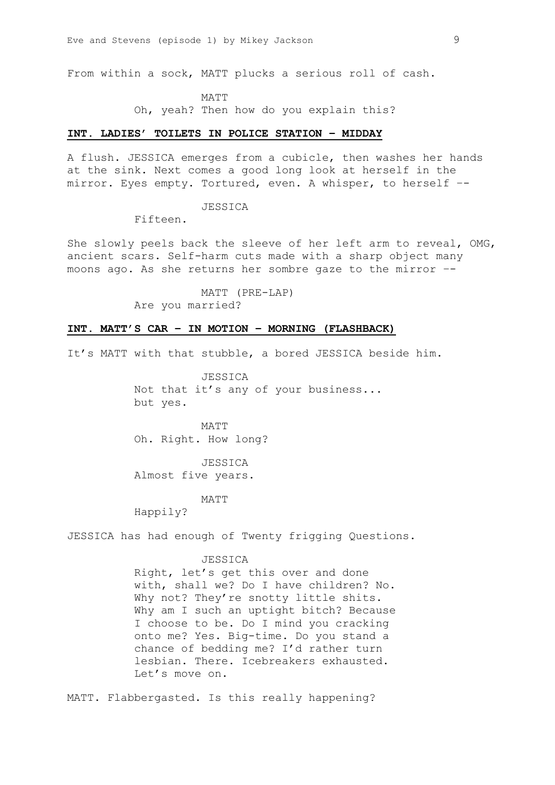From within a sock, MATT plucks a serious roll of cash.

MATT Oh, yeah? Then how do you explain this?

#### **INT. LADIES' TOILETS IN POLICE STATION – MIDDAY**

A flush. JESSICA emerges from a cubicle, then washes her hands at the sink. Next comes a good long look at herself in the mirror. Eyes empty. Tortured, even. A whisper, to herself –-

JESSICA

Fifteen.

She slowly peels back the sleeve of her left arm to reveal, OMG, ancient scars. Self-harm cuts made with a sharp object many moons ago. As she returns her sombre gaze to the mirror –-

> MATT (PRE-LAP) Are you married?

# **INT. MATT'S CAR – IN MOTION – MORNING (FLASHBACK)**

It's MATT with that stubble, a bored JESSICA beside him.

JESSICA Not that it's any of your business... but yes.

MATT Oh. Right. How long?

JESSICA Almost five years.

MATT

Happily?

JESSICA has had enough of Twenty frigging Questions.

## JESSICA

Right, let's get this over and done with, shall we? Do I have children? No. Why not? They're snotty little shits. Why am I such an uptight bitch? Because I choose to be. Do I mind you cracking onto me? Yes. Big-time. Do you stand a chance of bedding me? I'd rather turn lesbian. There. Icebreakers exhausted. Let's move on.

MATT. Flabbergasted. Is this really happening?